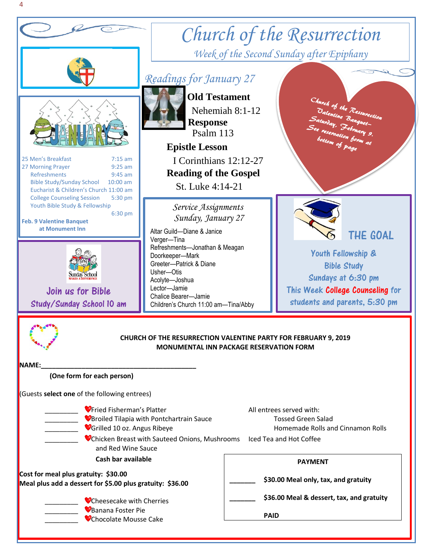